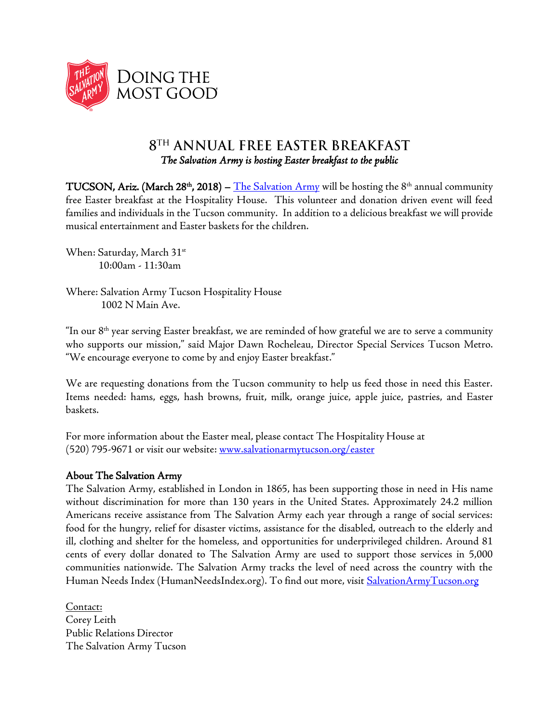

## 8TH ANNUAL FREE EASTER BREAKFAST *The Salvation Army is hosting Easter breakfast to the public*

**TUCSON, Ariz. (March 28<sup>th</sup>, 2018)** – <u>[The Salvation Army](http://www.salvationarmytucson.org/)</u> will be hosting the 8<sup>th</sup> annual community free Easter breakfast at the Hospitality House. This volunteer and donation driven event will feed families and individuals in the Tucson community. In addition to a delicious breakfast we will provide musical entertainment and Easter baskets for the children.

When: Saturday, March 31<sup>st</sup> 10:00am - 11:30am

Where: Salvation Army Tucson Hospitality House 1002 N Main Ave.

"In our 8th year serving Easter breakfast, we are reminded of how grateful we are to serve a community who supports our mission," said Major Dawn Rocheleau, Director Special Services Tucson Metro. "We encourage everyone to come by and enjoy Easter breakfast."

We are requesting donations from the Tucson community to help us feed those in need this Easter. Items needed: hams, eggs, hash browns, fruit, milk, orange juice, apple juice, pastries, and Easter baskets.

For more information about the Easter meal, please contact The Hospitality House at (520) 795-9671 or visit our website: [www.salvationarmytucson.org/easter](http://www.salvationarmytucson.org/easter)

## About The Salvation Army

The Salvation Army, established in London in 1865, has been supporting those in need in His name without discrimination for more than 130 years in the United States. Approximately 24.2 million Americans receive assistance from The Salvation Army each year through a range of social services: food for the hungry, relief for disaster victims, assistance for the disabled, outreach to the elderly and ill, clothing and shelter for the homeless, and opportunities for underprivileged children. Around 81 cents of every dollar donated to The Salvation Army are used to support those services in 5,000 communities nationwide. The Salvation Army tracks the level of need across the country with the Human Needs Index (HumanNeedsIndex.org). To find out more, visi[t SalvationArmyTucson.org](http://www.salvationarmytucson.org/)

Contact: Corey Leith Public Relations Director The Salvation Army Tucson